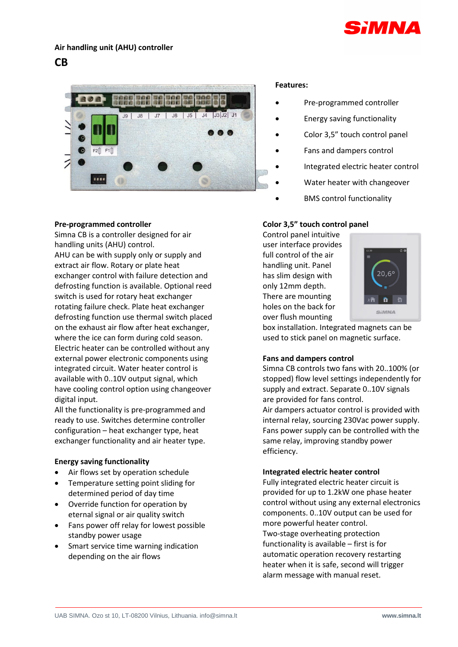

# **Air handling unit (AHU) controller**

# **CB**



## **Features:**

- Pre-programmed controller
- Energy saving functionality
- Color 3,5" touch control panel
- Fans and dampers control
- Integrated electric heater control
- Water heater with changeover
- BMS control functionality

### **Pre-programmed controller**

Simna CB is a controller designed for air handling units (AHU) control. AHU can be with supply only or supply and extract air flow. Rotary or plate heat exchanger control with failure detection and defrosting function is available. Optional reed switch is used for rotary heat exchanger rotating failure check. Plate heat exchanger defrosting function use thermal switch placed on the exhaust air flow after heat exchanger, where the ice can form during cold season. Electric heater can be controlled without any external power electronic components using integrated circuit. Water heater control is available with 0..10V output signal, which have cooling control option using changeover digital input.

All the functionality is pre-programmed and ready to use. Switches determine controller configuration – heat exchanger type, heat exchanger functionality and air heater type.

## **Energy saving functionality**

- Air flows set by operation schedule
- Temperature setting point sliding for determined period of day time
- Override function for operation by eternal signal or air quality switch
- Fans power off relay for lowest possible standby power usage
- Smart service time warning indication depending on the air flows

# **Color 3,5" touch control panel**

Control panel intuitive user interface provides full control of the air handling unit. Panel has slim design with only 12mm depth. There are mounting holes on the back for over flush mounting



box installation. Integrated magnets can be used to stick panel on magnetic surface.

## **Fans and dampers control**

Simna CB controls two fans with 20..100% (or stopped) flow level settings independently for supply and extract. Separate 0..10V signals are provided for fans control.

Air dampers actuator control is provided with internal relay, sourcing 230Vac power supply. Fans power supply can be controlled with the same relay, improving standby power efficiency.

## **Integrated electric heater control**

Fully integrated electric heater circuit is provided for up to 1.2kW one phase heater control without using any external electronics components. 0..10V output can be used for more powerful heater control. Two-stage overheating protection functionality is available – first is for automatic operation recovery restarting heater when it is safe, second will trigger alarm message with manual reset.